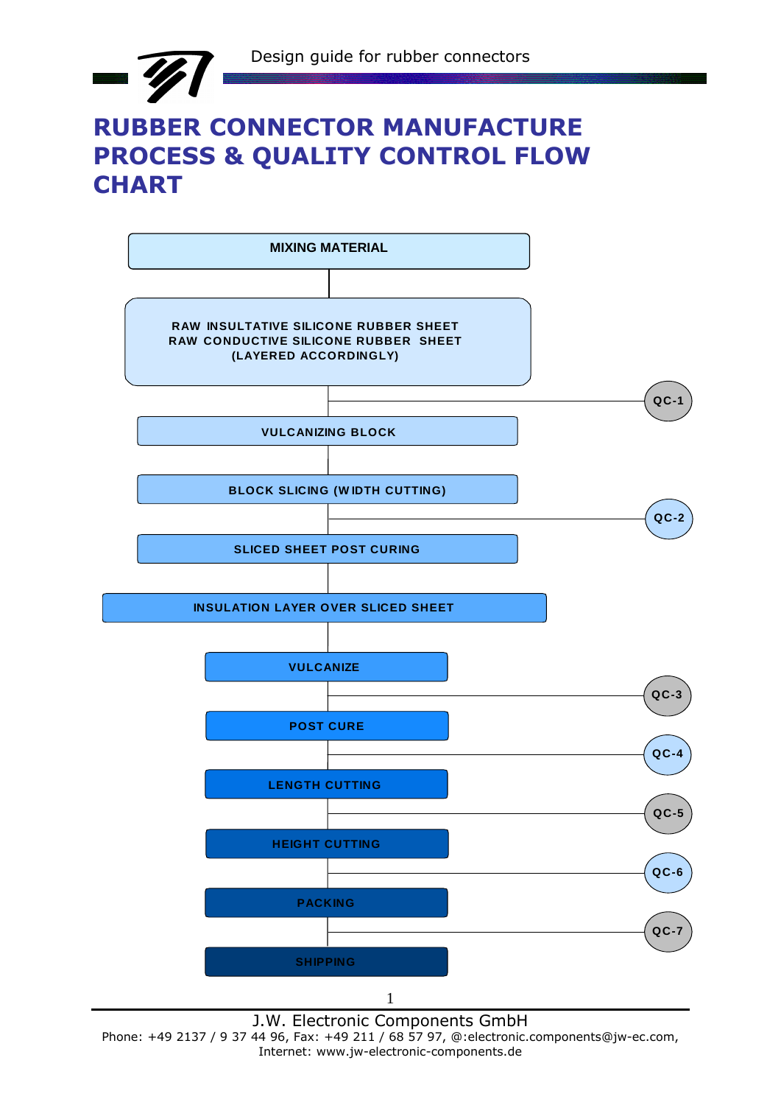

## **RUBBER CONNECTOR MANUFACTURE PROCESS & QUALITY CONTROL FLOW CHART**



Phone: +49 2137 / 9 37 44 96, Fax: +49 211 / 68 57 97, @:electronic.components@jw-ec.com, Internet: www.jw-electronic-components.de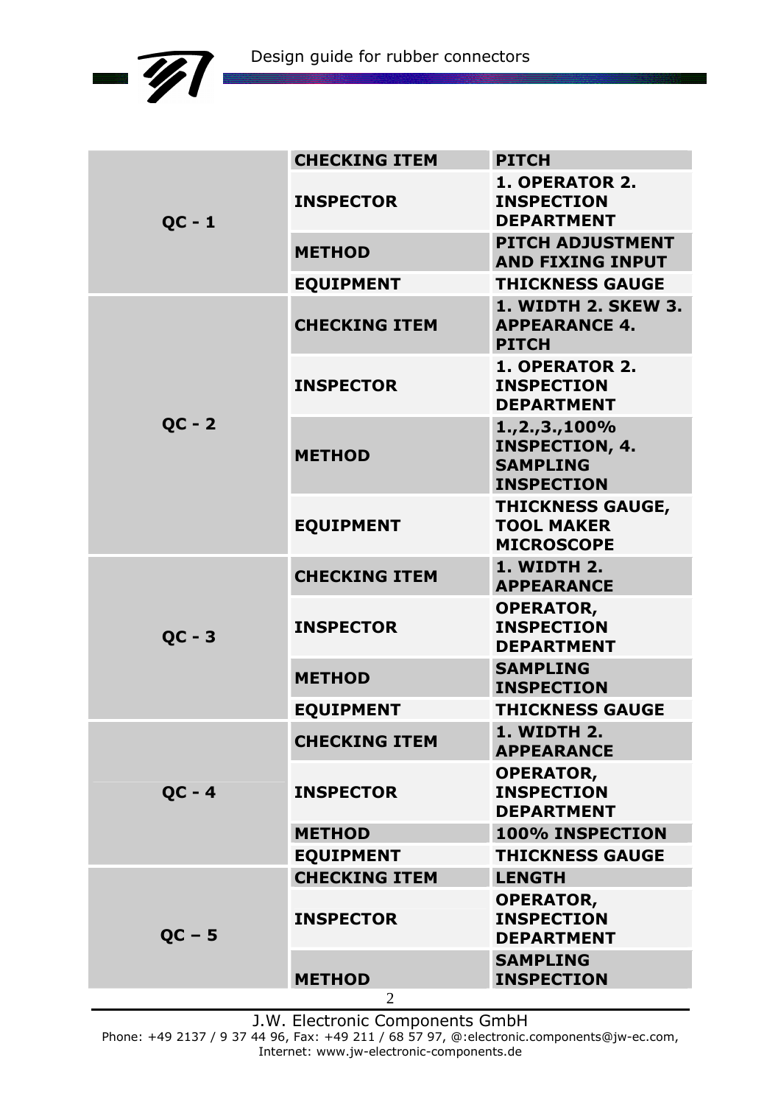

|          | <b>CHECKING ITEM</b> | <b>PITCH</b>                                                                         |
|----------|----------------------|--------------------------------------------------------------------------------------|
| $QC - 1$ | <b>INSPECTOR</b>     | <b>1. OPERATOR 2.</b><br><b>INSPECTION</b><br><b>DEPARTMENT</b>                      |
|          | <b>METHOD</b>        | <b>PITCH ADJUSTMENT</b><br><b>AND FIXING INPUT</b>                                   |
|          | <b>EQUIPMENT</b>     | <b>THICKNESS GAUGE</b>                                                               |
|          | <b>CHECKING ITEM</b> | <b>1. WIDTH 2. SKEW 3.</b><br><b>APPEARANCE 4.</b><br><b>PITCH</b>                   |
|          | <b>INSPECTOR</b>     | 1. OPERATOR 2.<br><b>INSPECTION</b><br><b>DEPARTMENT</b>                             |
| $QC - 2$ | <b>METHOD</b>        | $1., 2., 3., 100\%$<br><b>INSPECTION, 4.</b><br><b>SAMPLING</b><br><b>INSPECTION</b> |
|          | <b>EQUIPMENT</b>     | <b>THICKNESS GAUGE,</b><br><b>TOOL MAKER</b><br><b>MICROSCOPE</b>                    |
|          | <b>CHECKING ITEM</b> | <b>1. WIDTH 2.</b><br><b>APPEARANCE</b>                                              |
| $QC - 3$ | <b>INSPECTOR</b>     | <b>OPERATOR,</b><br><b>INSPECTION</b><br><b>DEPARTMENT</b>                           |
|          | <b>METHOD</b>        | <b>SAMPLING</b><br><b>INSPECTION</b>                                                 |
|          | <b>EQUIPMENT</b>     | <b>THICKNESS GAUGE</b>                                                               |
|          | <b>CHECKING ITEM</b> | <b>1. WIDTH 2.</b><br><b>APPEARANCE</b>                                              |
| $QC - 4$ | <b>INSPECTOR</b>     | <b>OPERATOR,</b><br><b>INSPECTION</b><br><b>DEPARTMENT</b>                           |
|          | <b>METHOD</b>        | 100% INSPECTION                                                                      |
|          | <b>EQUIPMENT</b>     | <b>THICKNESS GAUGE</b>                                                               |
|          | <b>CHECKING ITEM</b> | <b>LENGTH</b>                                                                        |
| $QC - 5$ | <b>INSPECTOR</b>     | <b>OPERATOR,</b><br><b>INSPECTION</b><br><b>DEPARTMENT</b>                           |
|          | <b>METHOD</b>        | <b>SAMPLING</b><br><b>INSPECTION</b>                                                 |
|          | $\overline{2}$       |                                                                                      |

J.W. Electronic Components GmbH

Phone: +49 2137 / 9 37 44 96, Fax: +49 211 / 68 57 97, @:electronic.components@jw-ec.com, Internet: www.jw-electronic-components.de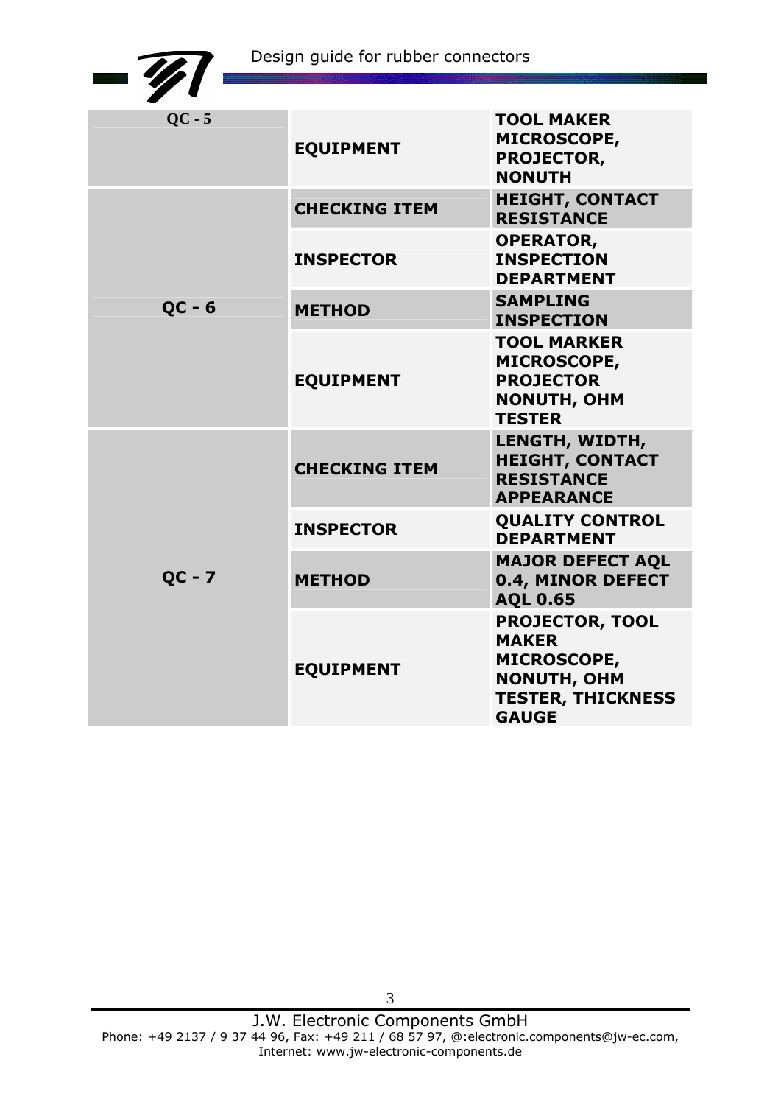|          | Design guide for rubber connectors |                                                                                                                                |
|----------|------------------------------------|--------------------------------------------------------------------------------------------------------------------------------|
|          |                                    |                                                                                                                                |
| $QC - 5$ | <b>EQUIPMENT</b>                   | <b>TOOL MAKER</b><br><b>MICROSCOPE,</b><br><b>PROJECTOR,</b><br><b>NONUTH</b>                                                  |
|          | <b>CHECKING ITEM</b>               | <b>HEIGHT, CONTACT</b><br><b>RESISTANCE</b>                                                                                    |
|          | <b>INSPECTOR</b>                   | <b>OPERATOR,</b><br><b>INSPECTION</b><br><b>DEPARTMENT</b>                                                                     |
| $QC - 6$ | <b>METHOD</b>                      | <b>SAMPLING</b><br><b>INSPECTION</b>                                                                                           |
|          | <b>EQUIPMENT</b>                   | <b>TOOL MARKER</b><br><b>MICROSCOPE,</b><br><b>PROJECTOR</b><br><b>NONUTH, OHM</b><br><b>TESTER</b>                            |
|          | <b>CHECKING ITEM</b>               | LENGTH, WIDTH,<br><b>HEIGHT, CONTACT</b><br><b>RESISTANCE</b><br><b>APPEARANCE</b>                                             |
|          | <b>INSPECTOR</b>                   | <b>QUALITY CONTROL</b><br><b>DEPARTMENT</b>                                                                                    |
| $QC - 7$ | <b>METHOD</b>                      | <b>MAJOR DEFECT AQL</b><br>0.4, MINOR DEFECT<br><b>AQL 0.65</b>                                                                |
|          | <b>EQUIPMENT</b>                   | <b>PROJECTOR, TOOL</b><br><b>MAKER</b><br><b>MICROSCOPE,</b><br><b>NONUTH, OHM</b><br><b>TESTER, THICKNESS</b><br><b>GAUGE</b> |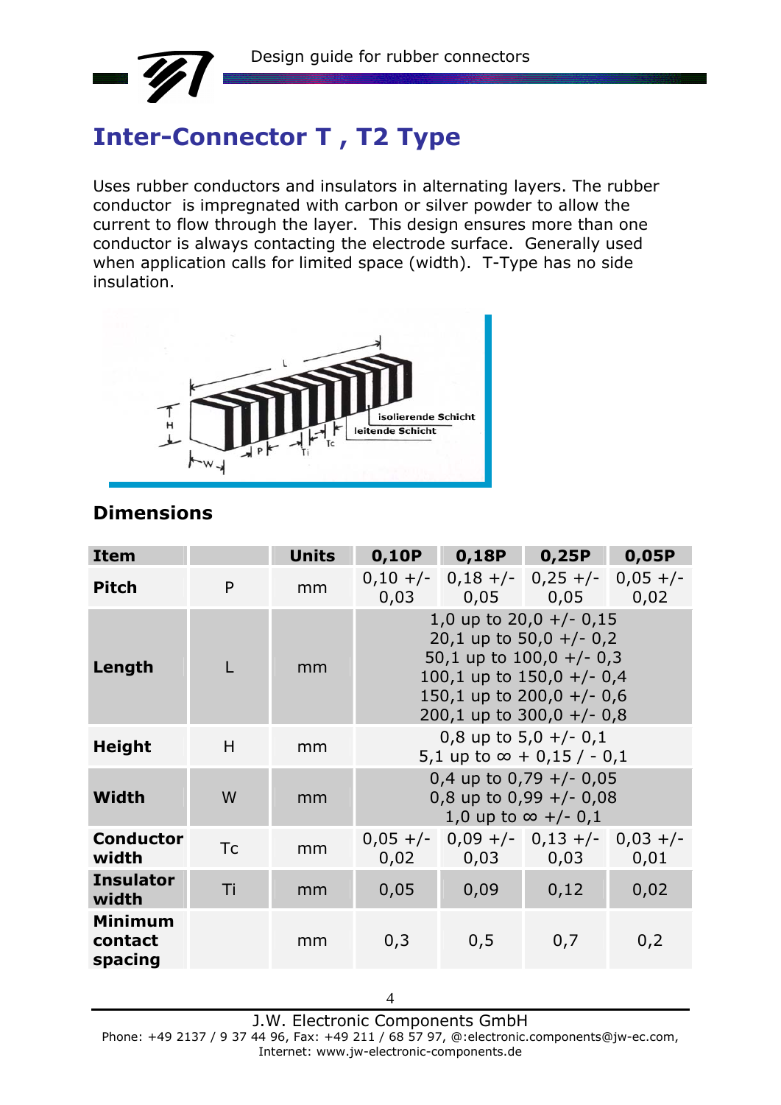

# **Inter-Connector T , T2 Type**

Uses rubber conductors and insulators in alternating layers. The rubber conductor is impregnated with carbon or silver powder to allow the current to flow through the layer. This design ensures more than one conductor is always contacting the electrode surface. Generally used when application calls for limited space (width). T-Type has no side insulation.



### **Dimensions**

| <b>Item</b>                          |           | <b>Units</b> |                                                                                                                                                                                | 0,10P  0,18P  0,25P                                            |     | 0,05P |  |  |  |
|--------------------------------------|-----------|--------------|--------------------------------------------------------------------------------------------------------------------------------------------------------------------------------|----------------------------------------------------------------|-----|-------|--|--|--|
| <b>Pitch</b>                         | P         | mm           |                                                                                                                                                                                | $0,10 +/-$ 0,18 +/- 0,25 +/- 0,05 +/-<br>$0,03$ 0,05 0,05 0,02 |     |       |  |  |  |
| Length                               |           | mm           | 1,0 up to $20,0 +/- 0,15$<br>20,1 up to 50,0 +/- 0,2<br>50,1 up to $100,0 +/- 0,3$<br>100,1 up to $150,0 +/-0,4$<br>150,1 up to $200,0 +/- 0,6$<br>200,1 up to $300,0 +/- 0,8$ |                                                                |     |       |  |  |  |
| <b>Height</b>                        | H         | mm           | 0,8 up to $5,0 +/- 0,1$<br>5,1 up to $\infty$ + 0,15 / - 0,1                                                                                                                   |                                                                |     |       |  |  |  |
| Width                                | W         | mm           | 0,4 up to 0,79 $+/-$ 0,05<br>0,8 up to $0,99$ +/- 0,08<br>1,0 up to $\infty$ +/- 0,1                                                                                           |                                                                |     |       |  |  |  |
| <b>Conductor</b><br>width            | <b>Tc</b> | mm           |                                                                                                                                                                                | $0,05 +/- 0,09 +/- 0,13 +/- 0,03 +/-$<br>$0,02$ 0,03 0,03      |     | 0,01  |  |  |  |
| <b>Insulator</b><br>width            | Ti        | mm           | 0,09<br>0,05<br>0,12<br>0,02                                                                                                                                                   |                                                                |     |       |  |  |  |
| <b>Minimum</b><br>contact<br>spacing |           | mm           | 0,3                                                                                                                                                                            | 0,5                                                            | 0,7 | 0,2   |  |  |  |

J.W. Electronic Components GmbH Phone: +49 2137 / 9 37 44 96, Fax: +49 211 / 68 57 97, @:electronic.components@jw-ec.com, Internet: www.jw-electronic-components.de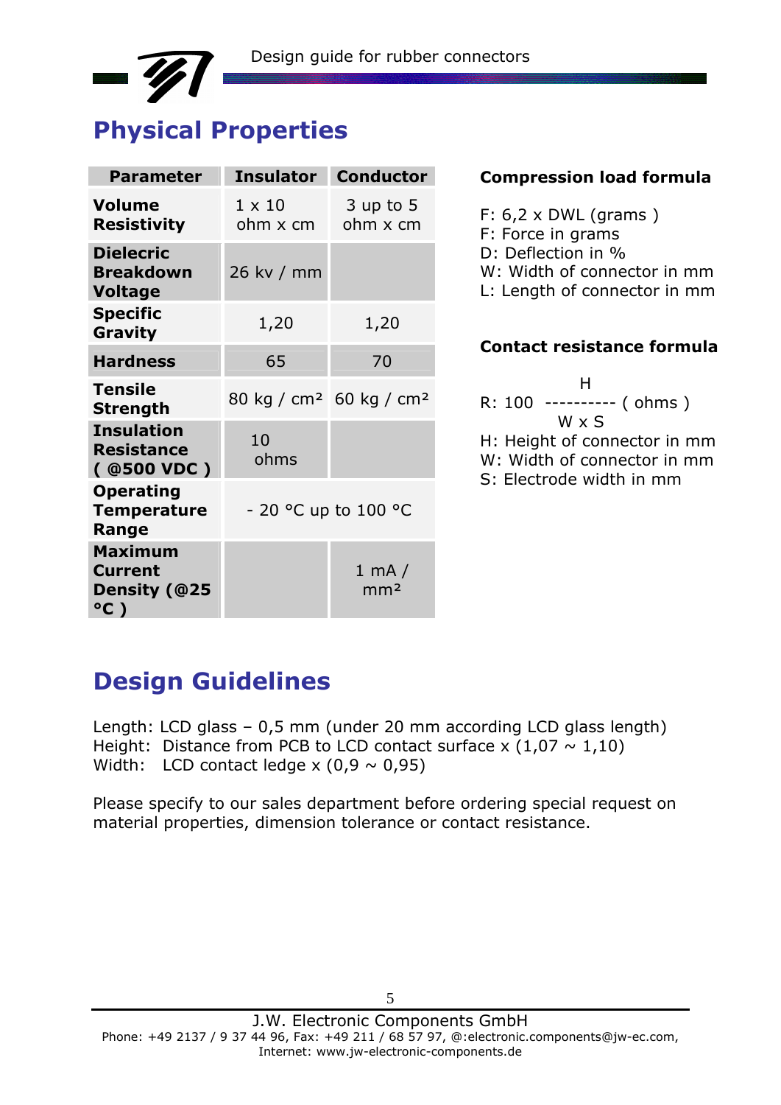

| <b>Parameter</b>                                        | <b>Insulator</b>                                | <b>Conductor</b>                  |
|---------------------------------------------------------|-------------------------------------------------|-----------------------------------|
| <b>Volume</b><br><b>Resistivity</b>                     | $1 \times 10$<br>ohm x cm                       | 3 up to 5<br>ohm x cm             |
| <b>Dielecric</b><br><b>Breakdown</b><br><b>Voltage</b>  | 26 kv / mm                                      |                                   |
| <b>Specific</b><br>Gravity                              | 1,20                                            | 1,20                              |
| <b>Hardness</b>                                         | 65                                              | 70                                |
| <b>Tensile</b><br><b>Strength</b>                       | 80 kg / cm <sup>2</sup> 60 kg / cm <sup>2</sup> |                                   |
| <b>Insulation</b><br><b>Resistance</b><br>( @500 VDC )  | 10<br>ohms                                      |                                   |
| <b>Operating</b><br><b>Temperature</b><br>Range         |                                                 | - 20 °C up to 100 °C              |
| <b>Maximum</b><br><b>Current</b><br>Density (@25<br>°C) |                                                 | $1 \text{ mA}$<br>mm <sup>2</sup> |

#### **Compression load formula**

#### **Contact resistance formula**

|  | н     |                            |                              |
|--|-------|----------------------------|------------------------------|
|  |       | R: 100 ---------- ( ohms ) |                              |
|  | W x S |                            |                              |
|  |       |                            | H: Height of connector in mm |
|  |       |                            | W: Width of connector in mm  |
|  |       | S: Electrode width in mm   |                              |

### **Design Guidelines**

Length: LCD glass – 0,5 mm (under 20 mm according LCD glass length) Height: Distance from PCB to LCD contact surface x  $(1,07 \sim 1,10)$ Width: LCD contact ledge  $x$  (0,9  $\sim$  0,95)

Please specify to our sales department before ordering special request on material properties, dimension tolerance or contact resistance.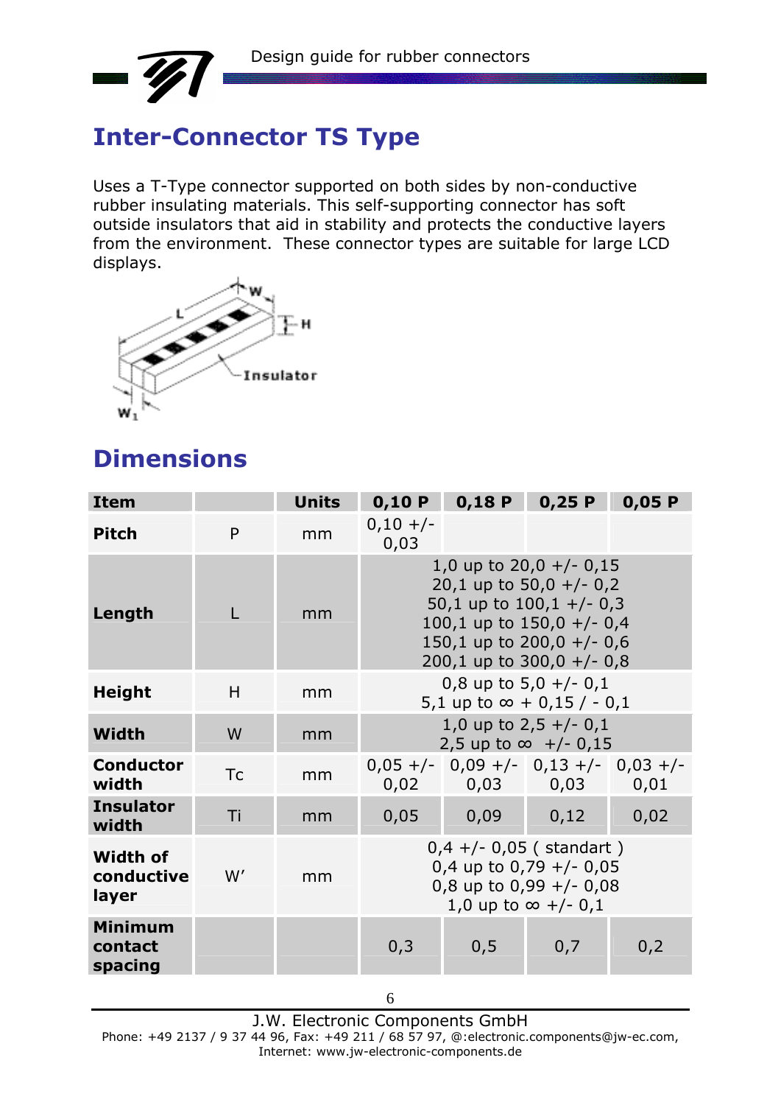

# **Inter-Connector TS Type**

Uses a T-Type connector supported on both sides by non-conductive rubber insulating materials. This self-supporting connector has soft outside insulators that aid in stability and protects the conductive layers from the environment. These connector types are suitable for large LCD displays.



# **Dimensions**

| <b>Item</b>                            |           | <b>Units</b> | 0,10 P                                                                                                                                                                            | 0,18P | 0,25P                                                | 0,05P |  |
|----------------------------------------|-----------|--------------|-----------------------------------------------------------------------------------------------------------------------------------------------------------------------------------|-------|------------------------------------------------------|-------|--|
| <b>Pitch</b>                           | P         | mm           | $0,10 +/-$<br>0,03                                                                                                                                                                |       |                                                      |       |  |
| Length                                 |           | mm           | 1,0 up to $20,0 +/- 0,15$<br>20,1 up to 50,0 $+/- 0,2$<br>50,1 up to $100,1 +/- 0,3$<br>100,1 up to $150,0 +/- 0,4$<br>150,1 up to $200,0 +/- 0,6$<br>200,1 up to $300,0 +/- 0,8$ |       |                                                      |       |  |
| <b>Height</b>                          | H         | mm           | 0,8 up to $5,0 +/- 0,1$<br>5,1 up to $\infty$ + 0,15 / - 0,1                                                                                                                      |       |                                                      |       |  |
| Width                                  | W         | mm           | 1,0 up to $2,5 +/- 0,1$<br>$2,5$ up to $\infty$ +/- 0,15                                                                                                                          |       |                                                      |       |  |
| <b>Conductor</b><br>width              | <b>Tc</b> | mm           | 0,02                                                                                                                                                                              |       | $0,05 +/- 0,09 +/- 0,13 +/- 0,03 +/-$<br>$0,03$ 0,03 | 0,01  |  |
| <b>Insulator</b><br>width              | Ti        | mm           | 0,05<br>0,09                                                                                                                                                                      |       | 0,12                                                 | 0,02  |  |
| <b>Width of</b><br>conductive<br>layer | W'        | mm           | $0,4 +/- 0,05$ (standart)<br>0,4 up to 0,79 $+/-$ 0,05<br>0,8 up to 0,99 $+/-$ 0,08<br>1,0 up to $\infty$ +/- 0,1                                                                 |       |                                                      |       |  |
| Minimum<br>contact<br>spacing          |           |              | 0,3                                                                                                                                                                               | 0,5   | 0,7                                                  | 0,2   |  |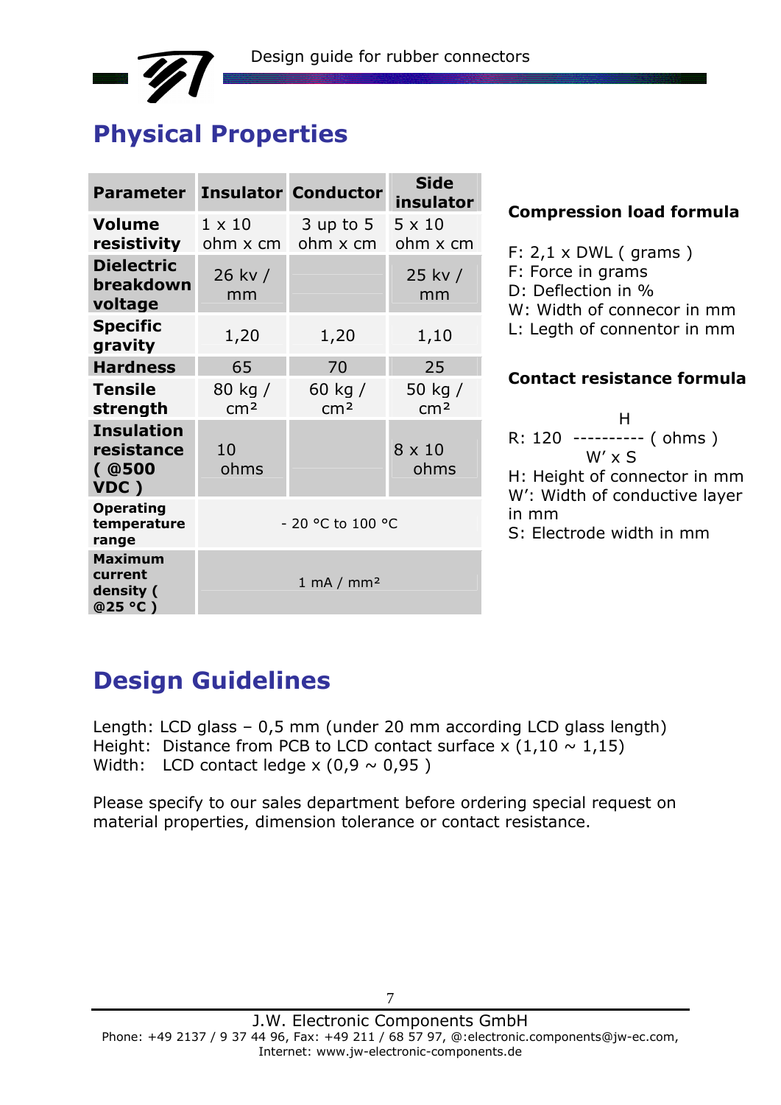

| <b>Parameter</b>                                   |                            | <b>Insulator Conductor</b>   | <b>Side</b><br>insulator   |
|----------------------------------------------------|----------------------------|------------------------------|----------------------------|
| <b>Volume</b><br>resistivity                       | $1 \times 10$<br>ohm x cm  | $3$ up to $5$<br>ohm x cm    | $5 \times 10$<br>ohm x cm  |
| <b>Dielectric</b><br>breakdown<br>voltage          | 26 kv /<br>mm              |                              | 25 kv /<br>mm              |
| <b>Specific</b><br>gravity                         | 1,20                       | 1,20                         | 1,10                       |
| <b>Hardness</b>                                    | 65                         | 70                           | 25                         |
| <b>Tensile</b><br>strength                         | 80 kg /<br>cm <sup>2</sup> | 60 kg /<br>cm <sup>2</sup>   | 50 kg /<br>cm <sup>2</sup> |
| <b>Insulation</b><br>resistance<br>( @ 500<br>VDC) | 10<br>ohms                 |                              | 8 x 10<br>ohms             |
| <b>Operating</b><br>temperature<br>range           |                            | - 20 °C to 100 °C            |                            |
| <b>Maximum</b><br>current<br>density (<br>@25 °C)  |                            | $1 \text{ mA} / \text{mm}^2$ |                            |

#### **Compression load formula**

F: 2,1 x DWL ( grams ) F: Force in grams D: Deflection in % W: Width of connecor in mm L: Legth of connentor in mm

#### **Contact resistance formula**

H<sub>ar</sub> Harry Harry Harry Harry R: 120 ---------- ( ohms )  $W' \times S$ H: Height of connector in mm W': Width of conductive layer in mm S: Electrode width in mm

## **Design Guidelines**

Length: LCD glass – 0,5 mm (under 20 mm according LCD glass length) Height: Distance from PCB to LCD contact surface x  $(1,10 \sim 1,15)$ Width: LCD contact ledge  $x$  (0,9  $\sim$  0,95)

Please specify to our sales department before ordering special request on material properties, dimension tolerance or contact resistance.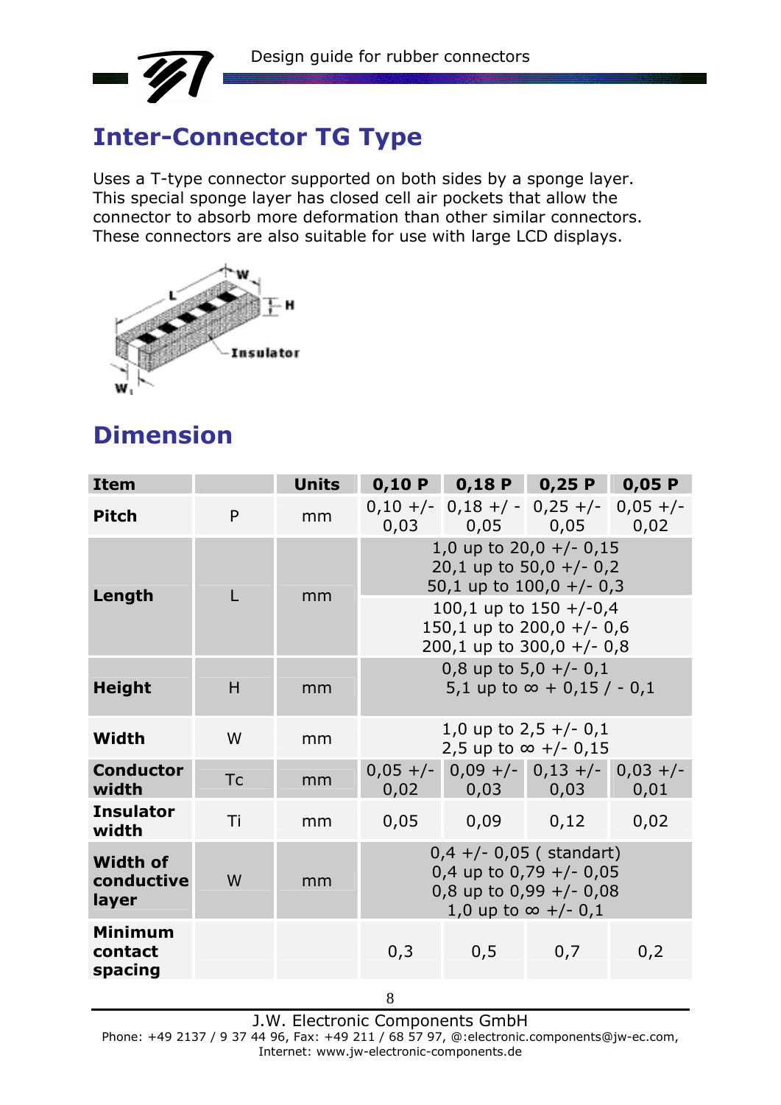

# **Inter-Connector TG Type**

Uses a T-type connector supported on both sides by a sponge layer. This special sponge layer has closed cell air pockets that allow the connector to absorb more deformation than other similar connectors. These connectors are also suitable for use with large LCD displays.



# **Dimension**

| <b>Item</b>                            |           | <b>Units</b> |                                                                                                                   | $0,10 P$ 0,18 P 0,25 P 0,05 P         |                         |      |  |  |
|----------------------------------------|-----------|--------------|-------------------------------------------------------------------------------------------------------------------|---------------------------------------|-------------------------|------|--|--|
| <b>Pitch</b>                           | P         | mm           | 0,03                                                                                                              | $0,10 +/- 0,18 +/- 0,25 +/- 0,05 +/-$ | $0,05$ 0,05 0,02        |      |  |  |
|                                        |           | mm           | 1,0 up to $20,0 +/- 0,15$<br>20,1 up to 50,0 +/- 0,2<br>50,1 up to $100,0 +/- 0,3$                                |                                       |                         |      |  |  |
| Length                                 |           |              | 100,1 up to $150 + (-0.4)$<br>150,1 up to $200,0 +/- 0,6$<br>200,1 up to $300,0 +/- 0,8$                          |                                       |                         |      |  |  |
| <b>Height</b>                          | H         | mm           | 0,8 up to $5,0 +/- 0,1$<br>5,1 up to $\infty$ + 0,15 / - 0,1                                                      |                                       |                         |      |  |  |
| Width                                  | W         | mm           |                                                                                                                   | 2,5 up to ∞ +/- 0,15                  | 1,0 up to $2,5 +/- 0,1$ |      |  |  |
| <b>Conductor</b><br>width              | <b>Tc</b> | mm           | $0,05 +/-$ 0,09 +/- 0,13 +/- 0,03 +/-<br>$0,03$ 0,03<br>0,02<br>0,01                                              |                                       |                         |      |  |  |
| <b>Insulator</b><br>width              | Ti        | mm           | 0,05                                                                                                              | 0,09                                  | 0,12                    | 0,02 |  |  |
| <b>Width of</b><br>conductive<br>layer | W         | mm           | $0,4 +/- 0,05$ (standart)<br>0,4 up to 0,79 $+/-$ 0,05<br>0,8 up to 0,99 $+/-$ 0,08<br>1,0 up to $\infty$ +/- 0,1 |                                       |                         |      |  |  |
| <b>Minimum</b><br>contact<br>spacing   |           |              | 0,3                                                                                                               | 0,5                                   | 0,7                     | 0,2  |  |  |
|                                        |           |              | 8                                                                                                                 |                                       |                         |      |  |  |

J.W. Electronic Components GmbH Phone: +49 2137 / 9 37 44 96, Fax: +49 211 / 68 57 97, @:electronic.components@jw-ec.com, Internet: www.jw-electronic-components.de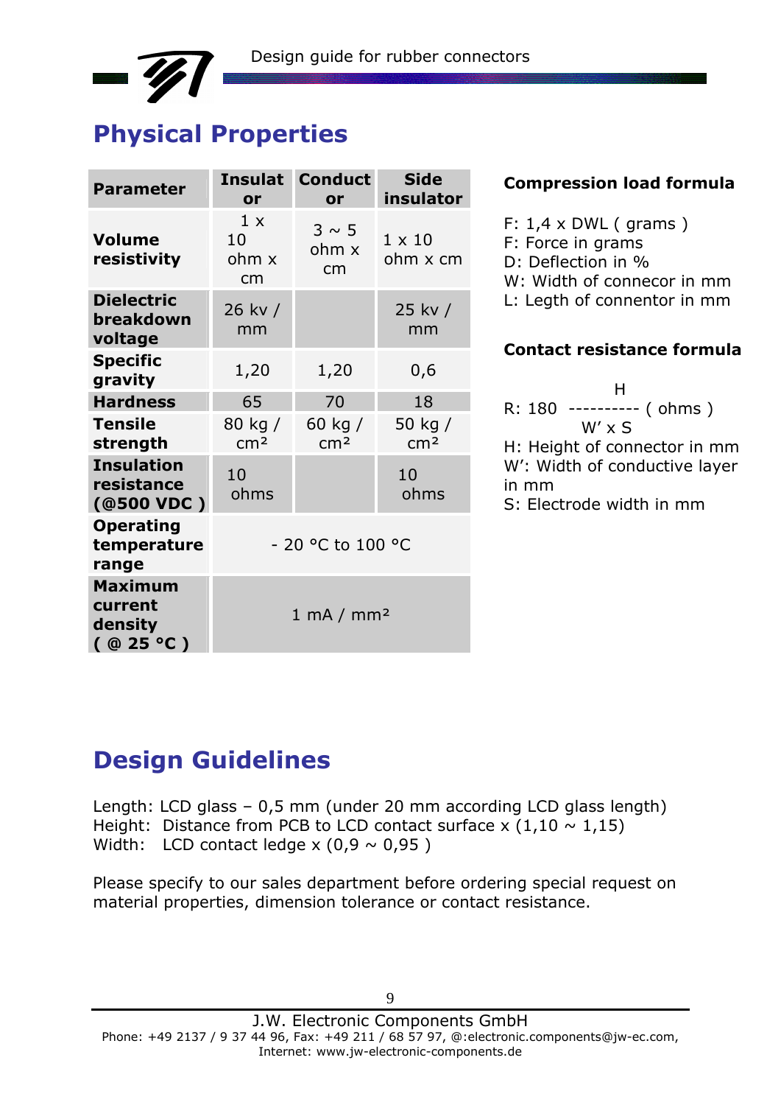# **Physical Properties**

| <b>Parameter</b>                                    | <b>Insulat</b><br>or         | <b>Conduct</b><br>or       | <b>Side</b><br>insulator   |  |  |  |
|-----------------------------------------------------|------------------------------|----------------------------|----------------------------|--|--|--|
| <b>Volume</b><br>resistivity                        | 1 x<br>10<br>ohm x<br>cm     | $3 \sim 5$<br>ohm x<br>cm  | $1 \times 10$<br>ohm x cm  |  |  |  |
| <b>Dielectric</b><br>breakdown<br>voltage           | 26 kv /<br>mm                |                            | 25 kv /<br>mm              |  |  |  |
| <b>Specific</b><br>gravity                          | 1,20                         | 1,20                       | 0,6                        |  |  |  |
| <b>Hardness</b>                                     | 65                           | 70                         | 18                         |  |  |  |
| <b>Tensile</b><br>strength                          | 80 kg /<br>cm <sup>2</sup>   | 60 kg /<br>cm <sup>2</sup> | 50 kg /<br>cm <sup>2</sup> |  |  |  |
| <b>Insulation</b><br>resistance<br>(@500 VDC)       | 10<br>ohms                   |                            | 10<br>ohms                 |  |  |  |
| <b>Operating</b><br>temperature<br>range            | - 20 °C to 100 °C            |                            |                            |  |  |  |
| <b>Maximum</b><br>current<br>density<br>( @ 25 °C ) | $1 \text{ mA} / \text{mm}^2$ |                            |                            |  |  |  |

#### **Compression load formula**

- F:  $1,4 \times DWL$  (grams) F: Force in grams D: Deflection in % W: Width of connecor in mm L: Legth of connentor in mm **Contact resistance formula**
- H R: 180 ---------- ( ohms ) W' x S H: Height of connector in mm W': Width of conductive layer in mm S: Electrode width in mm

# **Design Guidelines**

Length: LCD glass – 0,5 mm (under 20 mm according LCD glass length) Height: Distance from PCB to LCD contact surface x  $(1,10 \sim 1,15)$ Width: LCD contact ledge  $x$  (0,9  $\sim$  0,95)

Please specify to our sales department before ordering special request on material properties, dimension tolerance or contact resistance.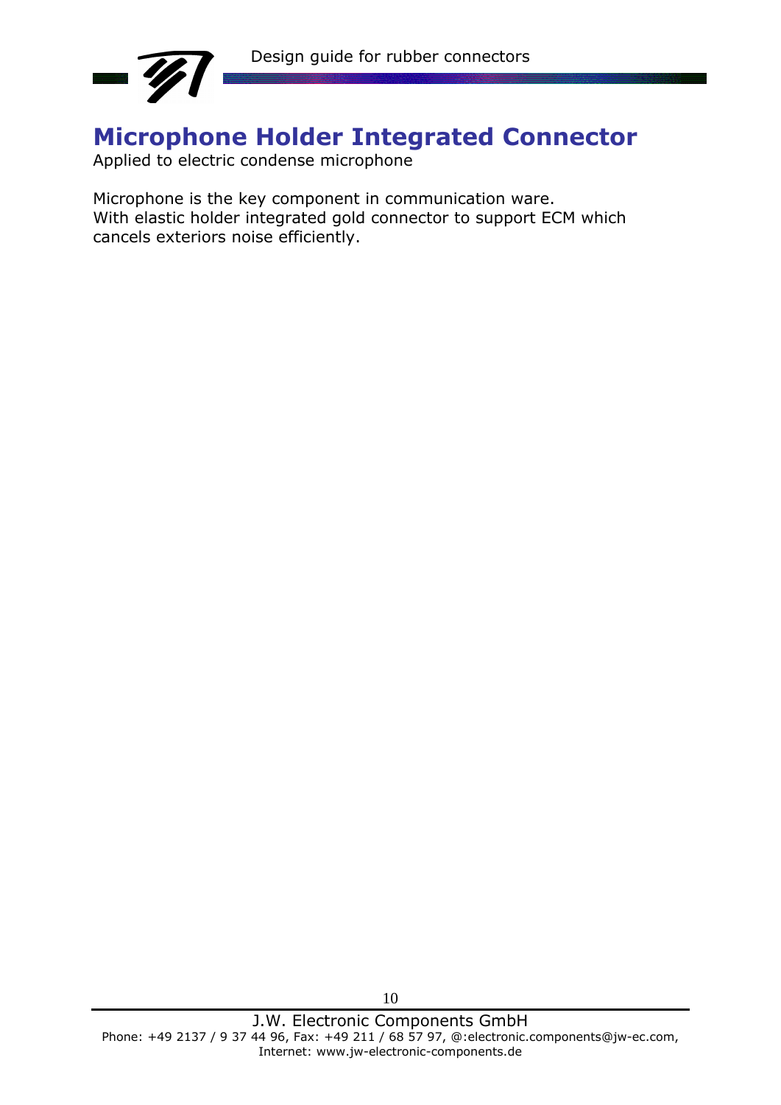

## **Microphone Holder Integrated Connector**

Applied to electric condense microphone

Microphone is the key component in communication ware. With elastic holder integrated gold connector to support ECM which cancels exteriors noise efficiently.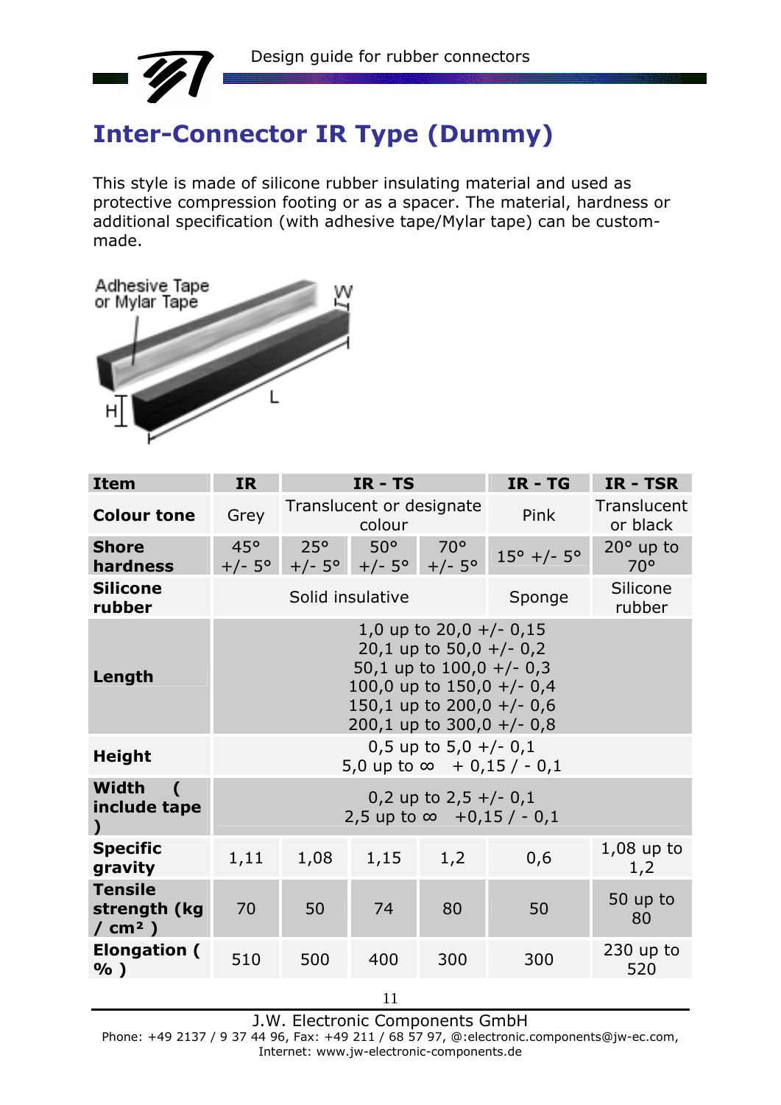

# **Inter-Connector IR Type (Dummy)**

This style is made of silicone rubber insulating material and used as protective compression footing or as a spacer. The material, hardness or additional specification (with adhesive tape/Mylar tape) can be custommade.



| <b>Item</b>                                                     | <b>IR</b>  |                                                                                                                                                                                   | $IR - TS$                                     |                                | $IR - TG$                         | IR - TSR                         |  |  |
|-----------------------------------------------------------------|------------|-----------------------------------------------------------------------------------------------------------------------------------------------------------------------------------|-----------------------------------------------|--------------------------------|-----------------------------------|----------------------------------|--|--|
| <b>Colour tone</b>                                              | Grey       | Translucent or designate<br>colour                                                                                                                                                |                                               |                                | Pink                              | Translucent<br>or black          |  |  |
| <b>Shore</b><br>hardness                                        | $45^\circ$ | $25^{\circ}$                                                                                                                                                                      | $50^{\circ}$<br>$+/- 5^{\circ}$ +/- 5° +/- 5° | $70^{\circ}$<br>$+/-5^{\circ}$ | $15^{\circ}$ +/- $5^{\circ}$      | $20^\circ$ up to<br>$70^{\circ}$ |  |  |
| <b>Silicone</b><br>rubber                                       |            |                                                                                                                                                                                   | Solid insulative                              |                                | Sponge                            | Silicone<br>rubber               |  |  |
| Length                                                          |            | 1,0 up to $20,0 +/- 0,15$<br>20,1 up to 50,0 $+/- 0,2$<br>50,1 up to $100,0 +/- 0,3$<br>100,0 up to $150,0 +/- 0,4$<br>150,1 up to $200,0 +/- 0,6$<br>200,1 up to $300,0 +/- 0,8$ |                                               |                                |                                   |                                  |  |  |
| <b>Height</b>                                                   |            |                                                                                                                                                                                   |                                               | 0,5 up to $5,0 +/- 0,1$        | 5,0 up to $\infty$ + 0,15 / - 0,1 |                                  |  |  |
| <b>Width</b><br>$\overline{ }$<br>include tape<br>$\mathcal{L}$ |            | 0,2 up to $2,5 +/- 0,1$<br>2,5 up to $\infty$ +0,15 / - 0,1                                                                                                                       |                                               |                                |                                   |                                  |  |  |
| <b>Specific</b><br>gravity                                      | 1,11       | $1,08$ up to<br>1,2<br>1,08<br>1,15<br>0,6<br>1,2                                                                                                                                 |                                               |                                |                                   |                                  |  |  |
| <b>Tensile</b><br>strength (kg<br>/ $cm2$ )                     | 70         | 50                                                                                                                                                                                | 74                                            | 80                             | 50                                | 50 up to<br>80                   |  |  |
| <b>Elongation (</b><br>$%$ )                                    | 510        | 500                                                                                                                                                                               | 400                                           | 300                            | 300                               | $230$ up to<br>520               |  |  |

11

J.W. Electronic Components GmbH

Phone: +49 2137 / 9 37 44 96, Fax: +49 211 / 68 57 97, @:electronic.components@jw-ec.com, Internet: www.jw-electronic-components.de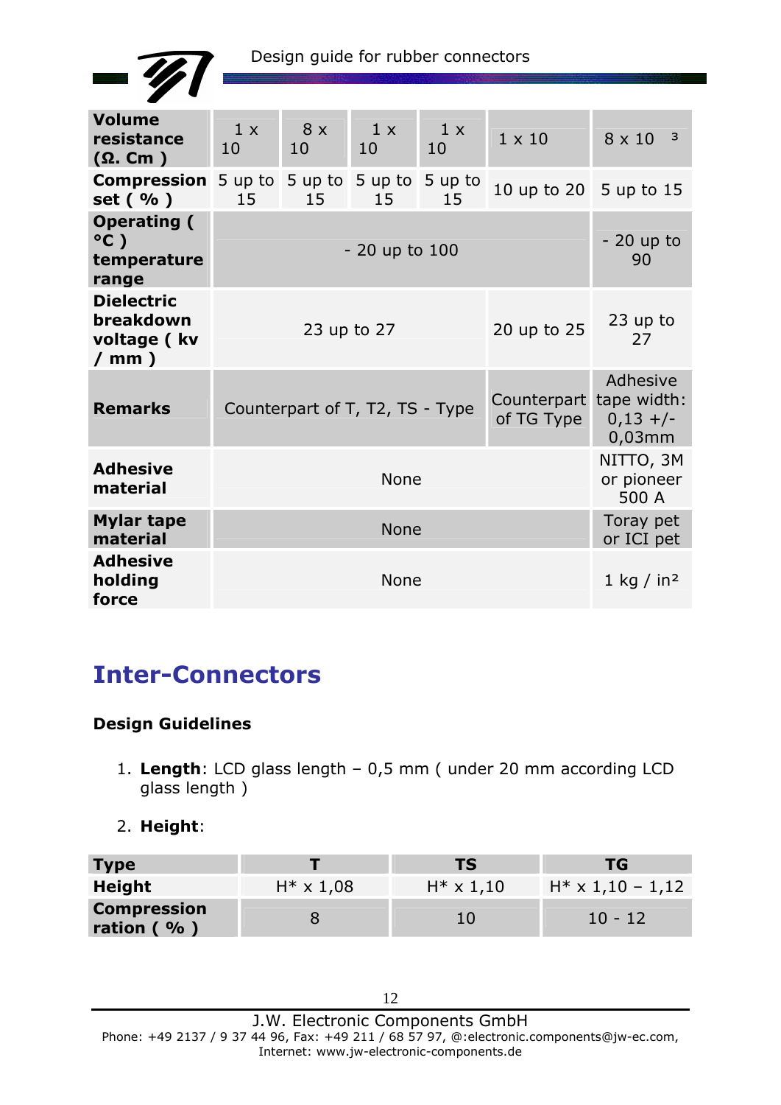

| <b>Volume</b><br>resistance<br>$(\Omega$ . Cm $)$           | 1 x<br>10                                                                | $8 \times$<br>10              | 1 x<br>10     | 1 x<br>10     | $1 \times 10$          | $8 \times 10^{-3}$                  |  |
|-------------------------------------------------------------|--------------------------------------------------------------------------|-------------------------------|---------------|---------------|------------------------|-------------------------------------|--|
| <b>Compression</b><br>set (%)                               | 5 up to<br>15                                                            | 5 up to<br>15                 | 5 up to<br>15 | 5 up to<br>15 | 10 up to 20 5 up to 15 |                                     |  |
| <b>Operating (</b><br>$^{\circ}$ C)<br>temperature<br>range |                                                                          | $-20$ up to<br>- 20 up to 100 |               |               |                        |                                     |  |
| <b>Dielectric</b><br>breakdown<br>voltage (kv<br>/ mm $)$   | 20 up to 25<br>23 up to 27                                               |                               |               |               |                        | 23 up to<br>27                      |  |
| <b>Remarks</b>                                              | Counterpart tape width:<br>Counterpart of T, T2, TS - Type<br>of TG Type |                               |               |               |                        | Adhesive<br>$0,13$ +/-<br>$0,03$ mm |  |
| <b>Adhesive</b><br>material                                 | <b>None</b>                                                              |                               |               |               |                        | NITTO, 3M<br>or pioneer<br>500 A    |  |
| <b>Mylar tape</b><br>material                               | <b>None</b>                                                              |                               |               |               |                        | Toray pet<br>or ICI pet             |  |
| <b>Adhesive</b><br>holding<br>force                         |                                                                          |                               | <b>None</b>   |               |                        | 1 kg / in <sup>2</sup>              |  |

## **Inter-Connectors**

### **Design Guidelines**

- 1. **Length**: LCD glass length 0,5 mm ( under 20 mm according LCD glass length )
- 2. **Height**:

| <b>Type</b>                     |                   | TS                | TG.                      |
|---------------------------------|-------------------|-------------------|--------------------------|
| Height                          | $H^* \times 1,08$ | $H^* \times 1,10$ | $H^* \times 1,10 - 1,12$ |
| <b>Compression</b><br>ration (% |                   | 10                | $10 - 12$                |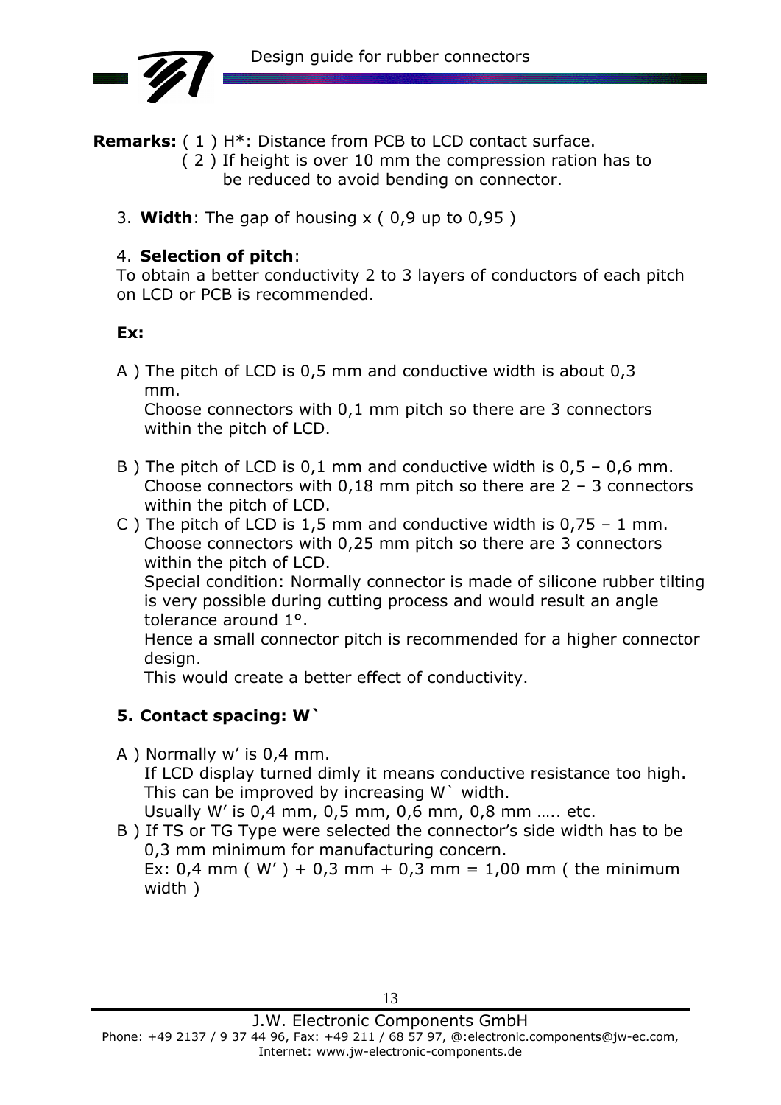

**Remarks:** ( 1 ) H\*: Distance from PCB to LCD contact surface.

- ( 2 ) If height is over 10 mm the compression ration has to be reduced to avoid bending on connector.
- 3. **Width**: The gap of housing x ( 0,9 up to 0,95 )

### 4. **Selection of pitch**:

To obtain a better conductivity 2 to 3 layers of conductors of each pitch on LCD or PCB is recommended.

### **Ex:**

A ) The pitch of LCD is 0,5 mm and conductive width is about 0,3 mm.

 Choose connectors with 0,1 mm pitch so there are 3 connectors within the pitch of LCD.

- B) The pitch of LCD is 0.1 mm and conductive width is  $0.5 0.6$  mm. Choose connectors with  $0.18$  mm pitch so there are  $2 - 3$  connectors within the pitch of LCD.
- C ) The pitch of LCD is 1,5 mm and conductive width is  $0.75 1$  mm. Choose connectors with 0,25 mm pitch so there are 3 connectors within the pitch of LCD.

 Special condition: Normally connector is made of silicone rubber tilting is very possible during cutting process and would result an angle tolerance around 1°.

 Hence a small connector pitch is recommended for a higher connector design.

This would create a better effect of conductivity.

### **5. Contact spacing: W`**

- A ) Normally w' is 0,4 mm. If LCD display turned dimly it means conductive resistance too high. This can be improved by increasing W` width. Usually W' is 0,4 mm, 0,5 mm, 0,6 mm, 0,8 mm ….. etc.
- B ) If TS or TG Type were selected the connector's side width has to be 0,3 mm minimum for manufacturing concern.

Ex:  $0.4$  mm ( W' ) +  $0.3$  mm +  $0.3$  mm =  $1.00$  mm ( the minimum width )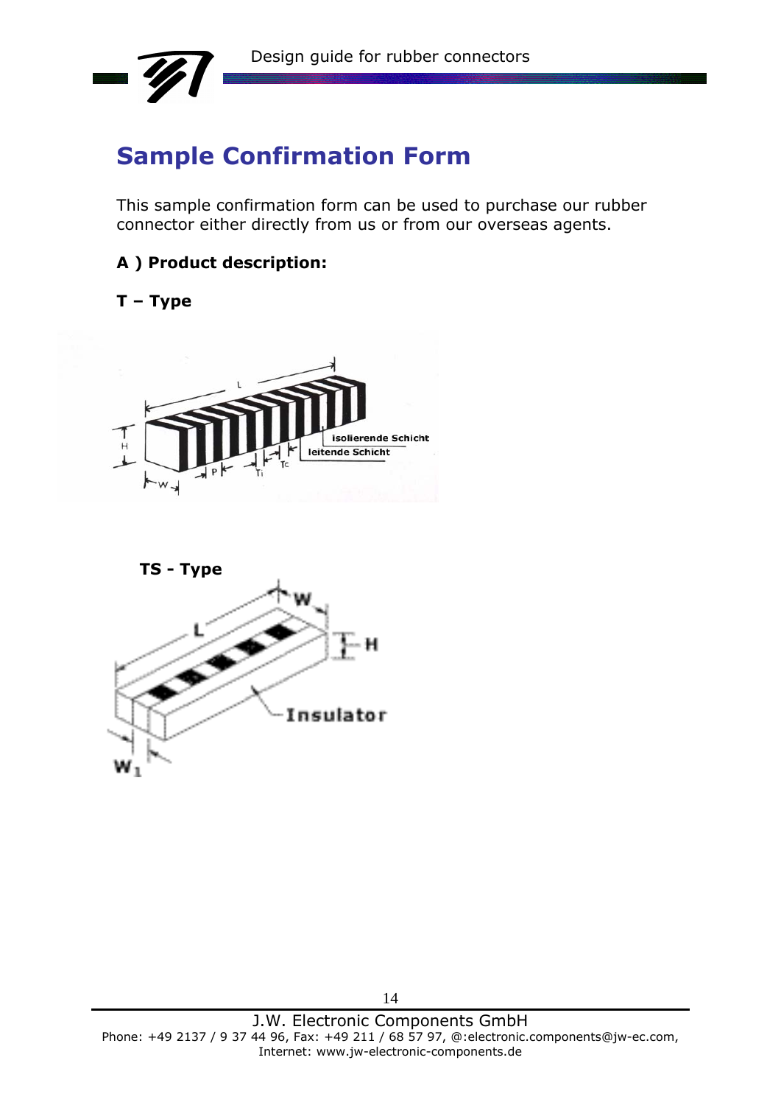

## **Sample Confirmation Form**

This sample confirmation form can be used to purchase our rubber connector either directly from us or from our overseas agents.

**A ) Product description:** 

#### **T – Type**



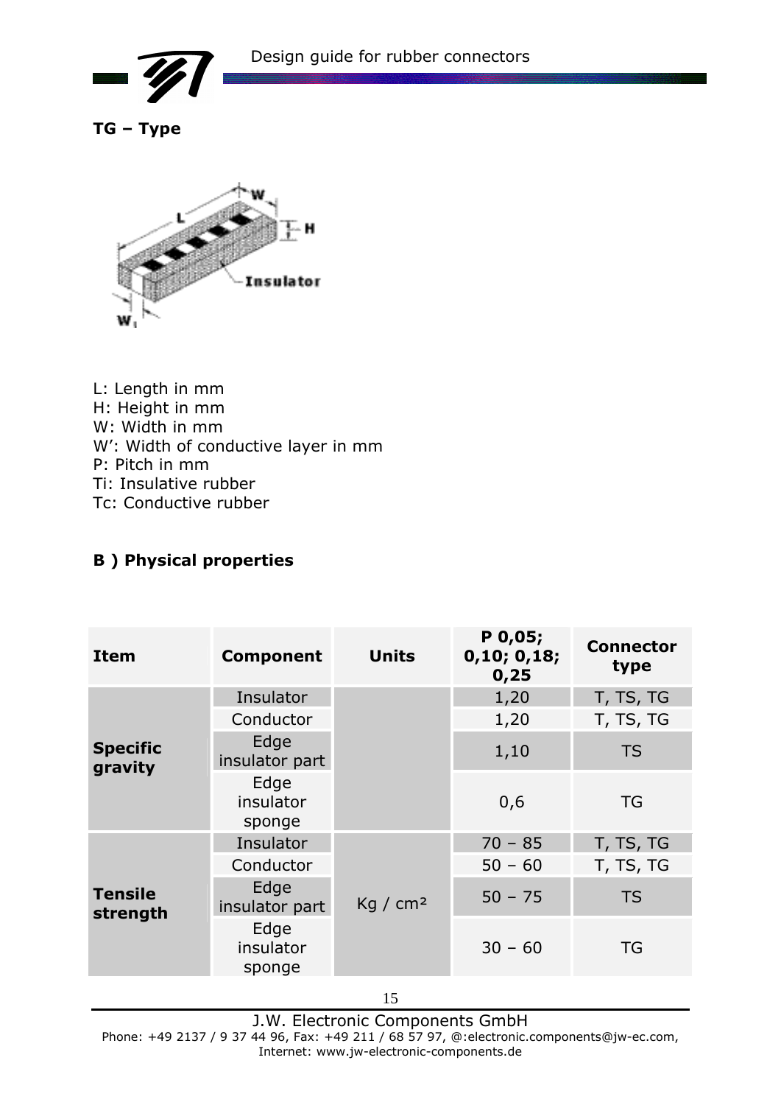

**TG – Type** 



L: Length in mm H: Height in mm W: Width in mm W': Width of conductive layer in mm P: Pitch in mm Ti: Insulative rubber Tc: Conductive rubber

### **B ) Physical properties**

| <b>Item</b>                | <b>Component</b>            | <b>Units</b>         | P 0,05;<br>0, 10; 0, 18;<br>0,25 | <b>Connector</b><br>type |
|----------------------------|-----------------------------|----------------------|----------------------------------|--------------------------|
|                            | Insulator                   |                      | 1,20                             | T, TS, TG                |
|                            | Conductor                   |                      | 1,20                             | T, TS, TG                |
| <b>Specific</b><br>gravity | Edge<br>insulator part      |                      | 1,10                             | <b>TS</b>                |
|                            | Edge<br>insulator<br>sponge |                      | 0,6                              | TG                       |
| <b>Tensile</b><br>strength | Insulator                   |                      | $70 - 85$                        | T, TS, TG                |
|                            | Conductor                   |                      | $50 - 60$                        | T, TS, TG                |
|                            | Edge<br>insulator part      | Kq / cm <sup>2</sup> | $50 - 75$                        | <b>TS</b>                |
|                            | Edge<br>insulator<br>sponge |                      | $30 - 60$                        | TG                       |

J.W. Electronic Components GmbH Phone: +49 2137 / 9 37 44 96, Fax: +49 211 / 68 57 97, @:electronic.components@jw-ec.com, Internet: www.jw-electronic-components.de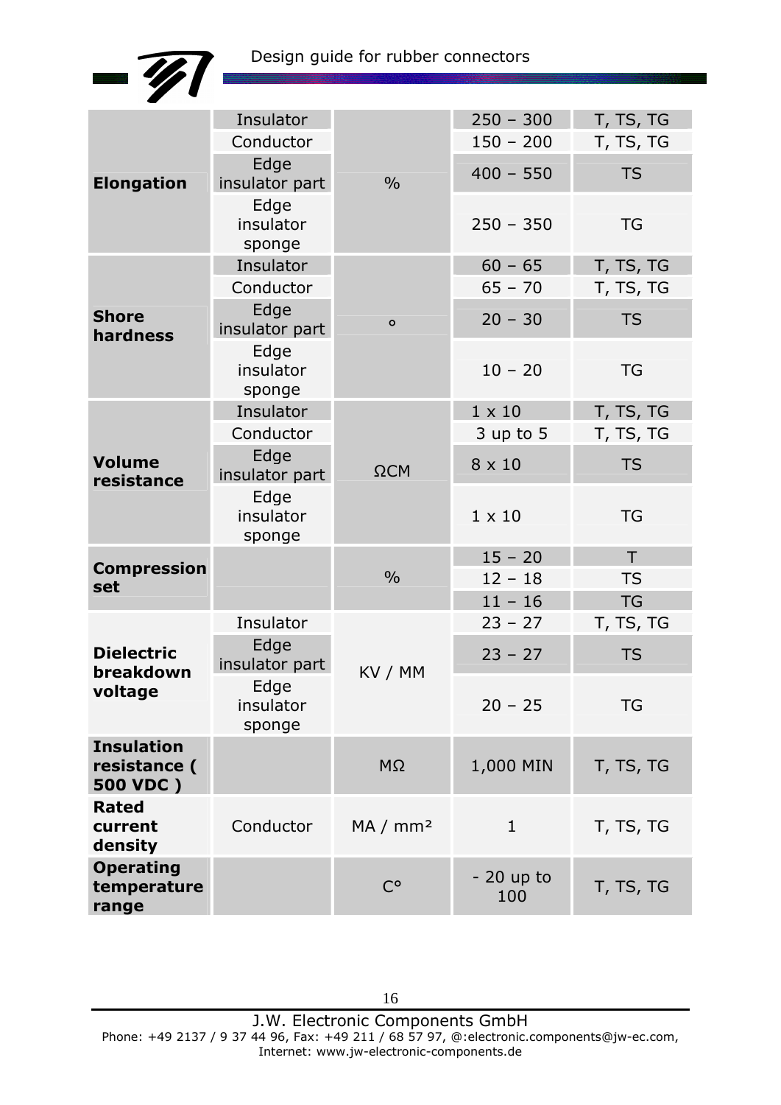

| <b>Elongation</b>                 | Insulator              |                      | $250 - 300$   | T, TS, TG |
|-----------------------------------|------------------------|----------------------|---------------|-----------|
|                                   | Conductor              |                      | $150 - 200$   | T, TS, TG |
|                                   | Edge<br>insulator part | $\frac{0}{0}$        | $400 - 550$   | <b>TS</b> |
|                                   | Edge                   |                      |               |           |
|                                   | insulator              |                      | $250 - 350$   | <b>TG</b> |
|                                   | sponge                 |                      |               |           |
|                                   | Insulator              |                      | $60 - 65$     | T, TS, TG |
|                                   | Conductor              |                      | $65 - 70$     | T, TS, TG |
| <b>Shore</b>                      | Edge                   | $\mathbf{o}$         | $20 - 30$     | <b>TS</b> |
| hardness                          | insulator part         |                      |               |           |
|                                   | Edge                   |                      |               |           |
|                                   | insulator<br>sponge    |                      | $10 - 20$     | <b>TG</b> |
|                                   | Insulator              |                      | $1 \times 10$ | T, TS, TG |
|                                   | Conductor              |                      | $3$ up to $5$ | T, TS, TG |
| <b>Volume</b>                     | Edge                   |                      |               |           |
| resistance                        | insulator part         | $\Omega$ CM          | 8 x 10        | <b>TS</b> |
|                                   | Edge                   |                      |               |           |
|                                   | insulator              |                      | $1 \times 10$ | <b>TG</b> |
|                                   | sponge                 |                      | $15 - 20$     | T         |
| <b>Compression</b><br>set         |                        | $\frac{0}{0}$        | $12 - 18$     | <b>TS</b> |
|                                   |                        |                      | $11 - 16$     | <b>TG</b> |
|                                   | Insulator              |                      | $23 - 27$     | T, TS, TG |
|                                   | Edge                   |                      |               |           |
| <b>Dielectric</b><br>breakdown    | insulator part         | KV / MM              | $23 - 27$     | <b>TS</b> |
| voltage                           | Edge                   |                      |               |           |
|                                   | insulator              |                      | $20 - 25$     | <b>TG</b> |
|                                   | sponge                 |                      |               |           |
| <b>Insulation</b><br>resistance ( |                        | $M\Omega$            | 1,000 MIN     | T, TS, TG |
| 500 VDC)                          |                        |                      |               |           |
| <b>Rated</b>                      |                        |                      |               |           |
| current                           | Conductor              | MA / mm <sup>2</sup> | $\mathbf 1$   | T, TS, TG |
| density                           |                        |                      |               |           |
| <b>Operating</b>                  |                        | $C^{\circ}$          | $-20$ up to   |           |
| temperature<br>range              |                        |                      | 100           | T, TS, TG |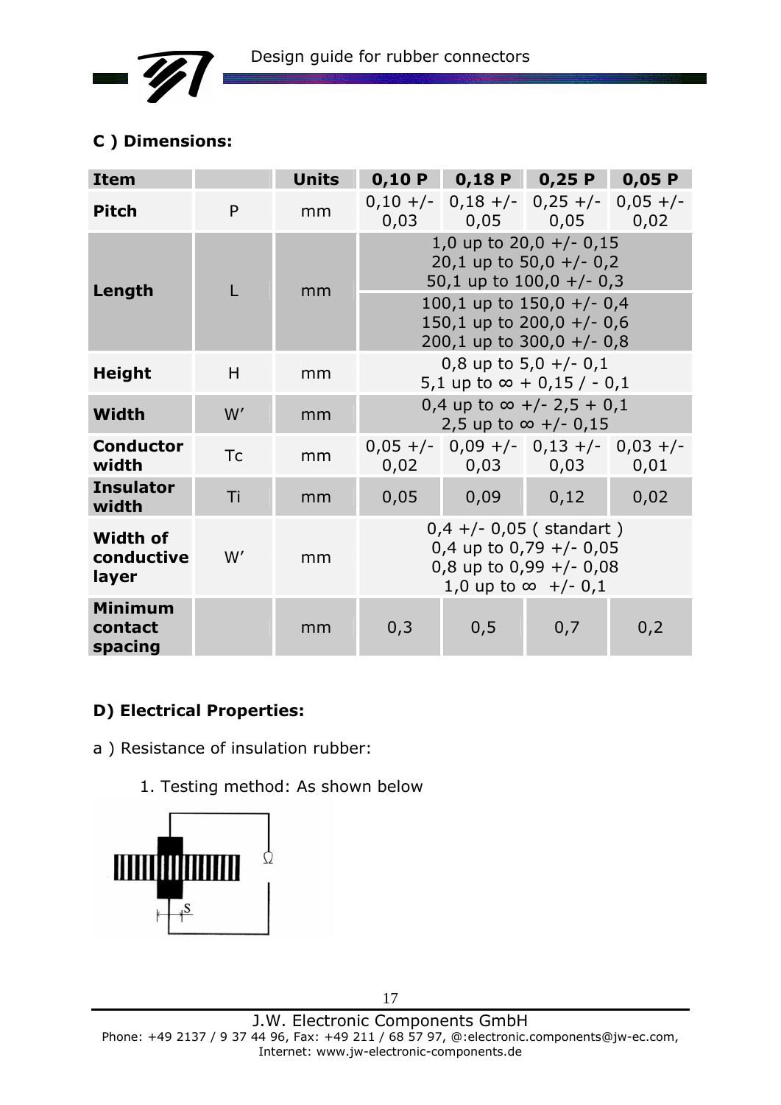

### **C ) Dimensions:**

| <b>Item</b>                            |           | <b>Units</b> |                                                                                                                   | $0,10 P$ 0,18 P 0,25 P 0,05 P                                        |                                                                                          |      |  |
|----------------------------------------|-----------|--------------|-------------------------------------------------------------------------------------------------------------------|----------------------------------------------------------------------|------------------------------------------------------------------------------------------|------|--|
| <b>Pitch</b>                           | P         | mm           |                                                                                                                   | $0,10 +/-$ 0,18 +/- 0,25 +/- 0,05 +/-<br>$0,03$ $0,05$ $0,05$ $0,02$ |                                                                                          |      |  |
| Length                                 |           | mm           | 1,0 up to $20,0 +/- 0,15$<br>20,1 up to 50,0 $+/-$ 0,2<br>50,1 up to $100,0 +/- 0,3$                              |                                                                      |                                                                                          |      |  |
|                                        |           |              |                                                                                                                   |                                                                      | 100,1 up to $150,0 +/-0,4$<br>150,1 up to $200,0 +/- 0,6$<br>200,1 up to $300,0 +/- 0,8$ |      |  |
| <b>Height</b>                          | H         | mm           | 0,8 up to $5,0 +/- 0,1$<br>5,1 up to $\infty$ + 0,15 / - 0,1                                                      |                                                                      |                                                                                          |      |  |
| Width                                  | W'        | mm           | 0,4 up to $\infty$ +/- 2,5 + 0,1<br>2,5 up to $\infty$ +/- 0,15                                                   |                                                                      |                                                                                          |      |  |
| <b>Conductor</b><br>width              | <b>Tc</b> | mm           |                                                                                                                   | $0,05 +/-$ 0,09 +/- 0,13 +/- 0,03 +/-<br>$0,02$ 0,03 0,03 0,01       |                                                                                          |      |  |
| <b>Insulator</b><br>width              | Ti        | mm           | 0,05                                                                                                              | 0,09                                                                 | 0,12                                                                                     | 0,02 |  |
| <b>Width of</b><br>conductive<br>layer | W'        | mm           | $0,4 +/- 0,05$ (standart)<br>0,4 up to 0,79 $+/-$ 0,05<br>0,8 up to 0,99 $+/-$ 0,08<br>1,0 up to $\infty$ +/- 0,1 |                                                                      |                                                                                          |      |  |
| <b>Minimum</b><br>contact<br>spacing   |           | mm           | 0,3                                                                                                               | 0, 5                                                                 | 0,7                                                                                      | 0,2  |  |

### **D) Electrical Properties:**

a ) Resistance of insulation rubber:

1. Testing method: As shown below



17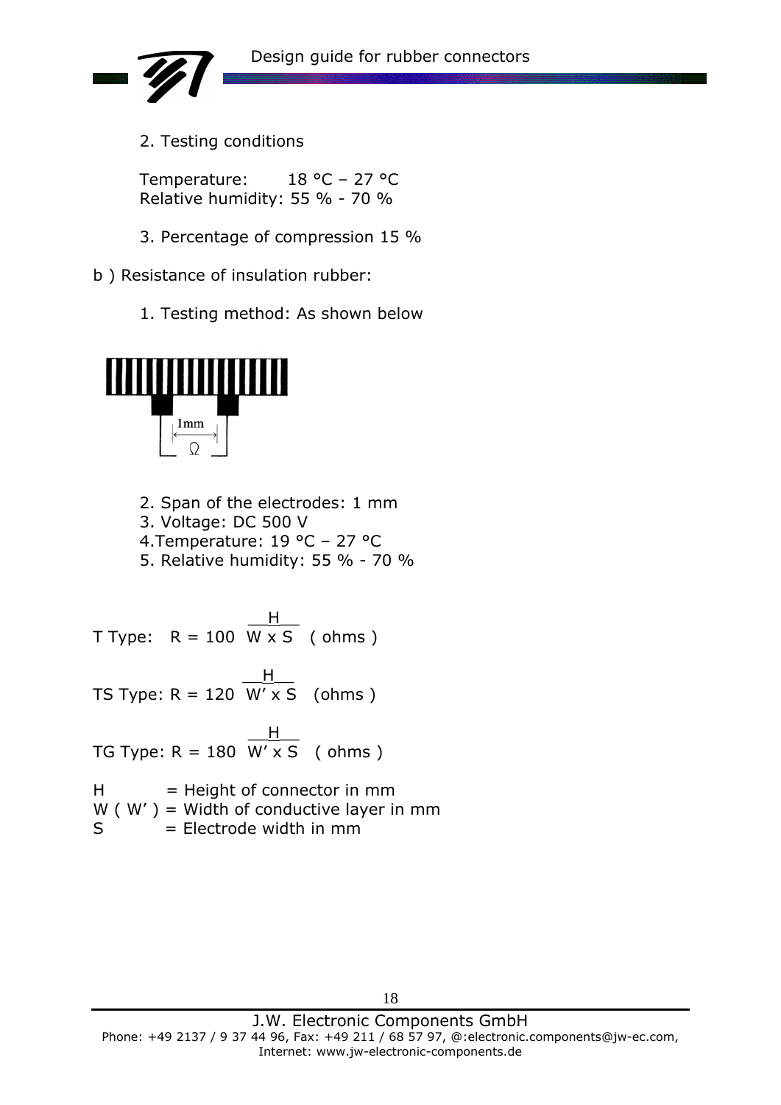

2. Testing conditions

Temperature: 18 °C – 27 °C Relative humidity: 55 % - 70 %

- 3. Percentage of compression 15 %
- b ) Resistance of insulation rubber:
	- 1. Testing method: As shown below



- 2. Span of the electrodes: 1 mm
- 3. Voltage: DC 500 V
- 4.Temperature: 19 °C 27 °C
- 5. Relative humidity: 55 % 70 %

 $\overline{\phantom{a}}$   $\overline{\phantom{a}}$   $\overline{\phantom{a}}$   $\overline{\phantom{a}}$   $\overline{\phantom{a}}$   $\overline{\phantom{a}}$   $\overline{\phantom{a}}$   $\overline{\phantom{a}}$   $\overline{\phantom{a}}$   $\overline{\phantom{a}}$   $\overline{\phantom{a}}$   $\overline{\phantom{a}}$   $\overline{\phantom{a}}$   $\overline{\phantom{a}}$   $\overline{\phantom{a}}$   $\overline{\phantom{a}}$   $\overline{\phantom{a}}$   $\overline{\phantom{a}}$   $\overline{\$ T Type:  $R = 100$  W x S (ohms)

 $\frac{1}{2}$   $\frac{1}{2}$   $\frac{1}{2}$   $\frac{1}{2}$   $\frac{1}{2}$   $\frac{1}{2}$   $\frac{1}{2}$   $\frac{1}{2}$   $\frac{1}{2}$   $\frac{1}{2}$   $\frac{1}{2}$   $\frac{1}{2}$   $\frac{1}{2}$   $\frac{1}{2}$   $\frac{1}{2}$   $\frac{1}{2}$   $\frac{1}{2}$   $\frac{1}{2}$   $\frac{1}{2}$   $\frac{1}{2}$   $\frac{1}{2}$   $\frac{1}{2}$  TS Type:  $R = 120$  W' x S (ohms)

 $\overline{\phantom{a}}$   $\overline{\phantom{a}}$   $\overline{\phantom{a}}$   $\overline{\phantom{a}}$   $\overline{\phantom{a}}$   $\overline{\phantom{a}}$   $\overline{\phantom{a}}$   $\overline{\phantom{a}}$   $\overline{\phantom{a}}$   $\overline{\phantom{a}}$   $\overline{\phantom{a}}$   $\overline{\phantom{a}}$   $\overline{\phantom{a}}$   $\overline{\phantom{a}}$   $\overline{\phantom{a}}$   $\overline{\phantom{a}}$   $\overline{\phantom{a}}$   $\overline{\phantom{a}}$   $\overline{\$ TG Type:  $R = 180$  W'  $xS$  (ohms)

 $H = Height of the$  $W$  ( $W'$ ) = Width of conductive layer in mm  $S =$  Electrode width in mm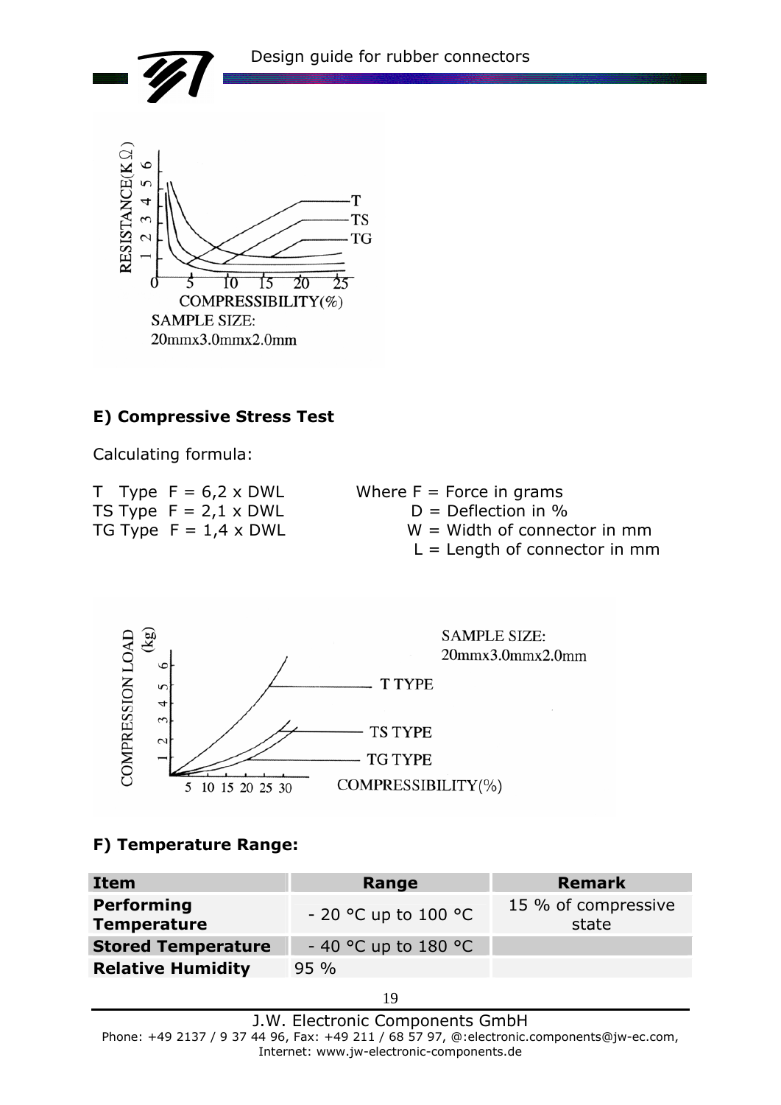

#### **E) Compressive Stress Test**

Calculating formula:

| T Type $F = 6.2 \times DWL$  | Where $F =$ Force in grams      |
|------------------------------|---------------------------------|
| TS Type $F = 2,1 \times DWL$ | $D = Deflection$ in %           |
| TG Type $F = 1.4 \times DWL$ | $W =$ Width of connector in mm  |
|                              | $L =$ Length of connector in mm |



### **F) Temperature Range:**

| Item                                    | Range                  | <b>Remark</b>                |
|-----------------------------------------|------------------------|------------------------------|
| <b>Performing</b><br><b>Temperature</b> | $-20$ °C up to 100 °C  | 15 % of compressive<br>state |
| <b>Stored Temperature</b>               | $-$ 40 °C up to 180 °C |                              |
| <b>Relative Humidity</b>                | $95\%$                 |                              |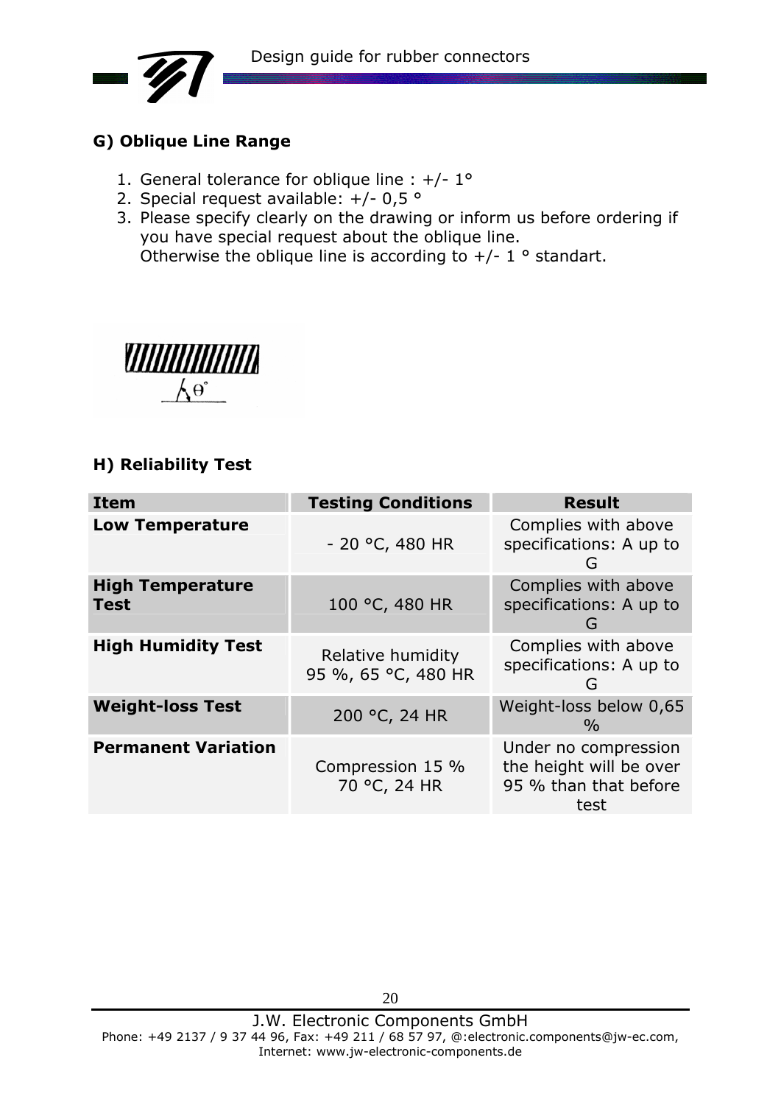

### **G) Oblique Line Range**

- 1. General tolerance for oblique line : +/- 1°
- 2. Special request available: +/- 0,5 °
- 3. Please specify clearly on the drawing or inform us before ordering if you have special request about the oblique line. Otherwise the oblique line is according to  $+/- 1$  ° standart.



### **H) Reliability Test**

| <b>Item</b>                            | <b>Testing Conditions</b>                | <b>Result</b>                                                                    |
|----------------------------------------|------------------------------------------|----------------------------------------------------------------------------------|
| <b>Low Temperature</b>                 | $-20$ °C, 480 HR                         | Complies with above<br>specifications: A up to<br>G                              |
| <b>High Temperature</b><br><b>Test</b> | 100 °C, 480 HR                           | Complies with above<br>specifications: A up to<br>G                              |
| <b>High Humidity Test</b>              | Relative humidity<br>95 %, 65 °C, 480 HR | Complies with above<br>specifications: A up to<br>G                              |
| <b>Weight-loss Test</b>                | 200 °C, 24 HR                            | Weight-loss below 0,65<br>$\frac{0}{0}$                                          |
| <b>Permanent Variation</b>             | Compression 15 %<br>70 °C, 24 HR         | Under no compression<br>the height will be over<br>95 % than that before<br>test |